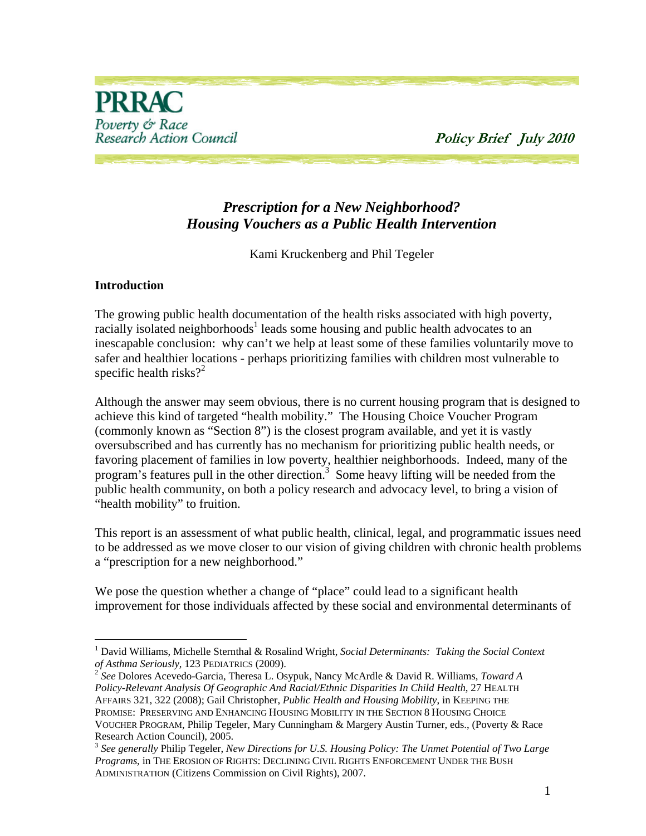

# *Prescription for a New Neighborhood? Housing Vouchers as a Public Health Intervention*

Kami Kruckenberg and Phil Tegeler

#### **Introduction**

1

The growing public health documentation of the health risks associated with high poverty, racially isolated neighborhoods<sup>1</sup> leads some housing and public health advocates to an inescapable conclusion: why can't we help at least some of these families voluntarily move to safer and healthier locations - perhaps prioritizing families with children most vulnerable to specific health risks? $2^2$ 

Although the answer may seem obvious, there is no current housing program that is designed to achieve this kind of targeted "health mobility." The Housing Choice Voucher Program (commonly known as "Section 8") is the closest program available, and yet it is vastly oversubscribed and has currently has no mechanism for prioritizing public health needs, or favoring placement of families in low poverty, healthier neighborhoods. Indeed, many of the program's features pull in the other direction.<sup>3</sup> Some heavy lifting will be needed from the public health community, on both a policy research and advocacy level, to bring a vision of "health mobility" to fruition.

This report is an assessment of what public health, clinical, legal, and programmatic issues need to be addressed as we move closer to our vision of giving children with chronic health problems a "prescription for a new neighborhood."

We pose the question whether a change of "place" could lead to a significant health improvement for those individuals affected by these social and environmental determinants of

<sup>&</sup>lt;sup>1</sup> David Williams, Michelle Sternthal & Rosalind Wright, *Social Determinants: Taking the Social Context of Asthma Seriously*, 123 PEDIATRICS (2009). 2 *See* Dolores Acevedo-Garcia, Theresa L. Osypuk, Nancy McArdle & David R. Williams, *Toward A* 

*Policy-Relevant Analysis Of Geographic And Racial/Ethnic Disparities In Child Health*, 27 HEALTH AFFAIRS 321, 322 (2008); Gail Christopher, *Public Health and Housing Mobility*, in KEEPING THE PROMISE: PRESERVING AND ENHANCING HOUSING MOBILITY IN THE SECTION 8 HOUSING CHOICE VOUCHER PROGRAM, Philip Tegeler, Mary Cunningham & Margery Austin Turner, eds., (Poverty & Race Research Action Council), 2005.

<sup>3</sup> *See generally* Philip Tegeler, *New Directions for U.S. Housing Policy: The Unmet Potential of Two Large Programs*, in THE EROSION OF RIGHTS: DECLINING CIVIL RIGHTS ENFORCEMENT UNDER THE BUSH ADMINISTRATION (Citizens Commission on Civil Rights), 2007.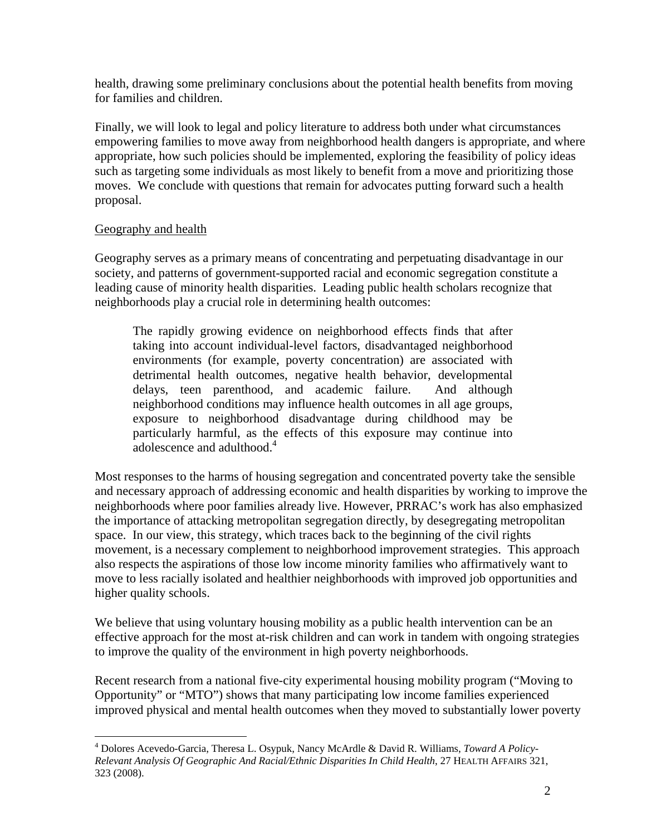health, drawing some preliminary conclusions about the potential health benefits from moving for families and children.

Finally, we will look to legal and policy literature to address both under what circumstances empowering families to move away from neighborhood health dangers is appropriate, and where appropriate, how such policies should be implemented, exploring the feasibility of policy ideas such as targeting some individuals as most likely to benefit from a move and prioritizing those moves. We conclude with questions that remain for advocates putting forward such a health proposal.

## Geography and health

Geography serves as a primary means of concentrating and perpetuating disadvantage in our society, and patterns of government-supported racial and economic segregation constitute a leading cause of minority health disparities. Leading public health scholars recognize that neighborhoods play a crucial role in determining health outcomes:

The rapidly growing evidence on neighborhood effects finds that after taking into account individual-level factors, disadvantaged neighborhood environments (for example, poverty concentration) are associated with detrimental health outcomes, negative health behavior, developmental delays, teen parenthood, and academic failure. And although neighborhood conditions may influence health outcomes in all age groups, exposure to neighborhood disadvantage during childhood may be particularly harmful, as the effects of this exposure may continue into adolescence and adulthood.<sup>4</sup>

Most responses to the harms of housing segregation and concentrated poverty take the sensible and necessary approach of addressing economic and health disparities by working to improve the neighborhoods where poor families already live. However, PRRAC's work has also emphasized the importance of attacking metropolitan segregation directly, by desegregating metropolitan space. In our view, this strategy, which traces back to the beginning of the civil rights movement, is a necessary complement to neighborhood improvement strategies. This approach also respects the aspirations of those low income minority families who affirmatively want to move to less racially isolated and healthier neighborhoods with improved job opportunities and higher quality schools.

We believe that using voluntary housing mobility as a public health intervention can be an effective approach for the most at-risk children and can work in tandem with ongoing strategies to improve the quality of the environment in high poverty neighborhoods.

Recent research from a national five-city experimental housing mobility program ("Moving to Opportunity" or "MTO") shows that many participating low income families experienced improved physical and mental health outcomes when they moved to substantially lower poverty

 $\overline{a}$ 4 Dolores Acevedo-Garcia, Theresa L. Osypuk, Nancy McArdle & David R. Williams, *Toward A Policy-Relevant Analysis Of Geographic And Racial/Ethnic Disparities In Child Health*, 27 HEALTH AFFAIRS 321, 323 (2008).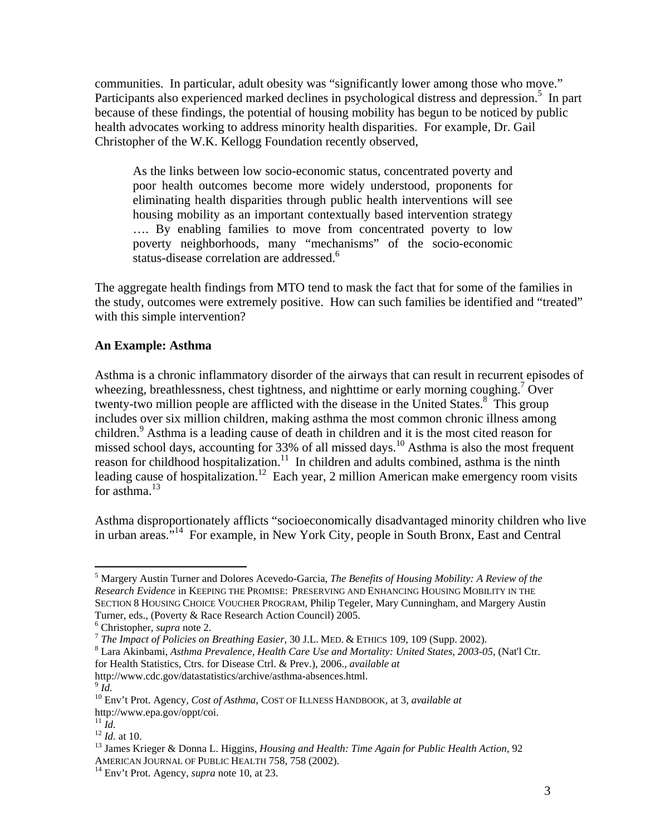communities. In particular, adult obesity was "significantly lower among those who move." Participants also experienced marked declines in psychological distress and depression.<sup>5</sup> In part because of these findings, the potential of housing mobility has begun to be noticed by public health advocates working to address minority health disparities. For example, Dr. Gail Christopher of the W.K. Kellogg Foundation recently observed,

As the links between low socio-economic status, concentrated poverty and poor health outcomes become more widely understood, proponents for eliminating health disparities through public health interventions will see housing mobility as an important contextually based intervention strategy …. By enabling families to move from concentrated poverty to low poverty neighborhoods, many "mechanisms" of the socio-economic status-disease correlation are addressed.<sup>6</sup>

The aggregate health findings from MTO tend to mask the fact that for some of the families in the study, outcomes were extremely positive. How can such families be identified and "treated" with this simple intervention?

## **An Example: Asthma**

Asthma is a chronic inflammatory disorder of the airways that can result in recurrent episodes of wheezing, breathlessness, chest tightness, and nighttime or early morning coughing.<sup>7</sup> Over twenty-two million people are afflicted with the disease in the United States.<sup>8</sup> This group includes over six million children, making asthma the most common chronic illness among children.<sup>9</sup> Asthma is a leading cause of death in children and it is the most cited reason for missed school days, accounting for 33% of all missed days.<sup>10</sup> Asthma is also the most frequent reason for childhood hospitalization.<sup>11</sup> In children and adults combined, asthma is the ninth leading cause of hospitalization.<sup>12</sup> Each year, 2 million American make emergency room visits for asthma.<sup>13</sup>

Asthma disproportionately afflicts "socioeconomically disadvantaged minority children who live in urban areas."14 For example, in New York City, people in South Bronx, East and Central

<sup>5</sup> Margery Austin Turner and Dolores Acevedo-Garcia, *The Benefits of Housing Mobility: A Review of the Research Evidence* in KEEPING THE PROMISE: PRESERVING AND ENHANCING HOUSING MOBILITY IN THE SECTION 8 HOUSING CHOICE VOUCHER PROGRAM, Philip Tegeler, Mary Cunningham, and Margery Austin Turner, eds., (Poverty & Race Research Action Council) 2005.<br><sup>6</sup> Christopher, *supra* note 2.

<sup>&</sup>lt;sup>7</sup> The Impact of Policies on Breathing Easier, 30 J.L. MED. & ETHICS 109, 109 (Supp. 2002).

Lara Akinbami, *Asthma Prevalence, Health Care Use and Mortality: United States, 2003-05*, (Nat'l Ctr. for Health Statistics, Ctrs. for Disease Ctrl. & Prev.), 2006., *available at* http://www.cdc.gov/datastatistics/archive/asthma-absences.html. 9 *Id.*

<sup>10</sup> Env't Prot. Agency, *Cost of Asthma*, COST OF ILLNESS HANDBOOK, at 3, *available at* http://www.epa.gov/oppt/coi.<br><sup>11</sup> Id.

<sup>12</sup> *Id.*<br><sup>12</sup> *Id.* at 10.<br><sup>13</sup> James Krieger & Donna L. Higgins, *Housing and Health: Time Again for Public Health Action*, 92 AMERICAN JOURNAL OF PUBLIC HEALTH 758, 758 (2002). 14 Env't Prot. Agency, *supra* note 10, at 23.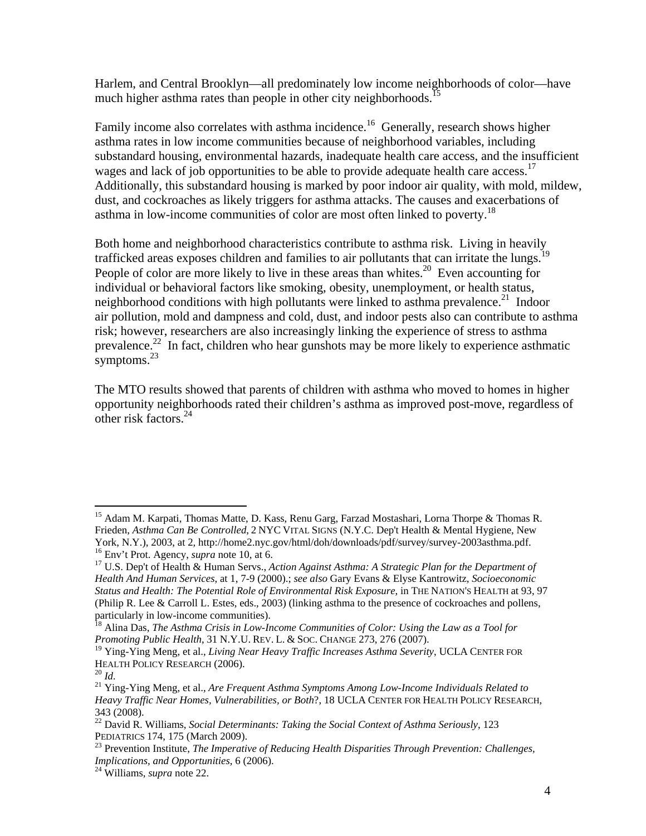Harlem, and Central Brooklyn—all predominately low income neighborhoods of color—have much higher asthma rates than people in other city neighborhoods.<sup>15</sup>

Family income also correlates with asthma incidence.<sup>16</sup> Generally, research shows higher asthma rates in low income communities because of neighborhood variables, including substandard housing, environmental hazards, inadequate health care access, and the insufficient wages and lack of job opportunities to be able to provide adequate health care access.<sup>17</sup> Additionally, this substandard housing is marked by poor indoor air quality, with mold, mildew, dust, and cockroaches as likely triggers for asthma attacks. The causes and exacerbations of asthma in low-income communities of color are most often linked to poverty.<sup>18</sup>

Both home and neighborhood characteristics contribute to asthma risk. Living in heavily trafficked areas exposes children and families to air pollutants that can irritate the lungs.<sup>1</sup> People of color are more likely to live in these areas than whites.<sup>20</sup> Even accounting for individual or behavioral factors like smoking, obesity, unemployment, or health status, neighborhood conditions with high pollutants were linked to asthma prevalence.<sup>21</sup> Indoor air pollution, mold and dampness and cold, dust, and indoor pests also can contribute to asthma risk; however, researchers are also increasingly linking the experience of stress to asthma prevalence.22 In fact, children who hear gunshots may be more likely to experience asthmatic symptoms.<sup>23</sup>

The MTO results showed that parents of children with asthma who moved to homes in higher opportunity neighborhoods rated their children's asthma as improved post-move, regardless of other risk factors.<sup>24</sup>

1

<sup>&</sup>lt;sup>15</sup> Adam M. Karpati, Thomas Matte, D. Kass, Renu Garg, Farzad Mostashari, Lorna Thorpe & Thomas R. Frieden, *Asthma Can Be Controlled*, 2 NYC VITAL SIGNS (N.Y.C. Dep't Health & Mental Hygiene, New York, N.Y.), 2003, at 2, http://home2.nyc.gov/html/doh/downloads/pdf/survey/survey-2003asthma.pdf.<br><sup>16</sup> Env't Prot. Agency, *supra* note 10, at 6.

<sup>&</sup>lt;sup>17</sup> U.S. Dep't of Health & Human Servs., *Action Against Asthma: A Strategic Plan for the Department of Health And Human Services*, at 1, 7-9 (2000).; *see also* Gary Evans & Elyse Kantrowitz*, Socioeconomic Status and Health: The Potential Role of Environmental Risk Exposure*, in THE NATION'S HEALTH at 93, 97 (Philip R. Lee & Carroll L. Estes, eds., 2003) (linking asthma to the presence of cockroaches and pollens, particularly in low-income communities).

<sup>&</sup>lt;sup>18</sup> Alina Das, *The Asthma Crisis in Low-Income Communities of Color: Using the Law as a Tool for Promoting Public Health*, 31 N.Y.U. REV. L. & SOC. CHANGE 273, 276 (2007).

<sup>&</sup>lt;sup>19</sup> Ying-Ying Meng, et al., *Living Near Heavy Traffic Increases Asthma Severity*, UCLA CENTER FOR HEALTH POLICY RESEARCH (2006).<br><sup>20</sup> *Id.* 

<sup>&</sup>lt;sup>21</sup> Ying-Ying Meng, et al., *Are Frequent Asthma Symptoms Among Low-Income Individuals Related to Heavy Traffic Near Homes, Vulnerabilities, or Both*?, 18 UCLA CENTER FOR HEALTH POLICY RESEARCH, 343 (2008).

<sup>&</sup>lt;sup>22</sup> David R. Williams, *Social Determinants: Taking the Social Context of Asthma Seriously*, 123 PEDIATRICS 174, 175 (March 2009).

<sup>&</sup>lt;sup>23</sup> Prevention Institute, *The Imperative of Reducing Health Disparities Through Prevention: Challenges, Implications, and Opportunities*, 6 (2006). 24 Williams, *supra* note 22.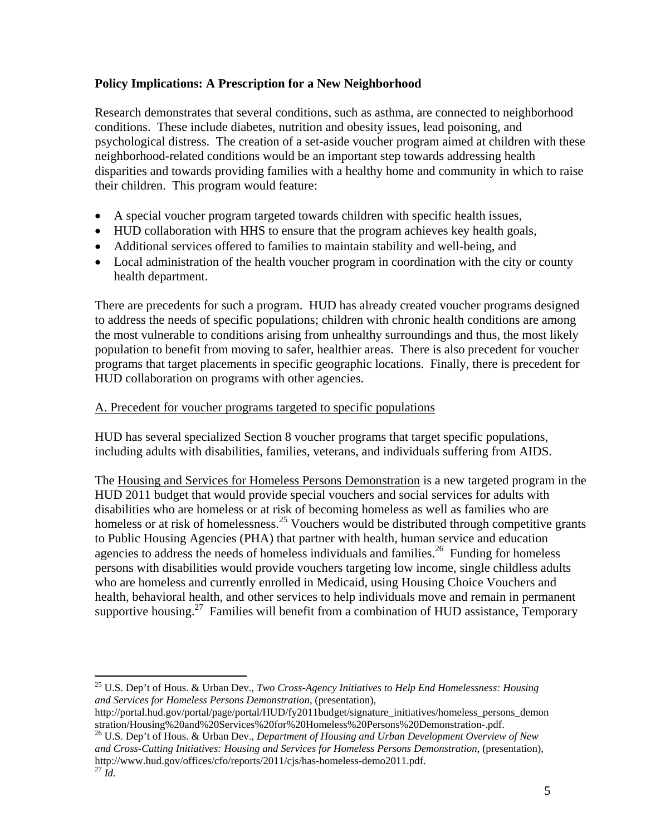# **Policy Implications: A Prescription for a New Neighborhood**

Research demonstrates that several conditions, such as asthma, are connected to neighborhood conditions. These include diabetes, nutrition and obesity issues, lead poisoning, and psychological distress. The creation of a set-aside voucher program aimed at children with these neighborhood-related conditions would be an important step towards addressing health disparities and towards providing families with a healthy home and community in which to raise their children. This program would feature:

- A special voucher program targeted towards children with specific health issues,
- HUD collaboration with HHS to ensure that the program achieves key health goals,
- Additional services offered to families to maintain stability and well-being, and
- Local administration of the health voucher program in coordination with the city or county health department.

There are precedents for such a program. HUD has already created voucher programs designed to address the needs of specific populations; children with chronic health conditions are among the most vulnerable to conditions arising from unhealthy surroundings and thus, the most likely population to benefit from moving to safer, healthier areas. There is also precedent for voucher programs that target placements in specific geographic locations. Finally, there is precedent for HUD collaboration on programs with other agencies.

## A. Precedent for voucher programs targeted to specific populations

HUD has several specialized Section 8 voucher programs that target specific populations, including adults with disabilities, families, veterans, and individuals suffering from AIDS.

The Housing and Services for Homeless Persons Demonstration is a new targeted program in the HUD 2011 budget that would provide special vouchers and social services for adults with disabilities who are homeless or at risk of becoming homeless as well as families who are homeless or at risk of homelessness.<sup>25</sup> Vouchers would be distributed through competitive grants to Public Housing Agencies (PHA) that partner with health, human service and education agencies to address the needs of homeless individuals and families.<sup>26</sup> Funding for homeless persons with disabilities would provide vouchers targeting low income, single childless adults who are homeless and currently enrolled in Medicaid, using Housing Choice Vouchers and health, behavioral health, and other services to help individuals move and remain in permanent supportive housing.<sup>27</sup> Families will benefit from a combination of HUD assistance, Temporary

<sup>25</sup> U.S. Dep't of Hous. & Urban Dev., *Two Cross-Agency Initiatives to Help End Homelessness: Housing and Services for Homeless Persons Demonstration*, (presentation),

http://portal.hud.gov/portal/page/portal/HUD/fy2011budget/signature\_initiatives/homeless\_persons\_demon stration/Housing%20and%20Services%20for%20Homeless%20Persons%20Demonstration-.pdf.

<sup>26</sup> U.S. Dep't of Hous. & Urban Dev., *Department of Housing and Urban Development Overview of New and Cross-Cutting Initiatives: Housing and Services for Homeless Persons Demonstration*, (presentation), http://www.hud.gov/offices/cfo/reports/2011/cjs/has-homeless-demo2011.pdf. 27 *Id.*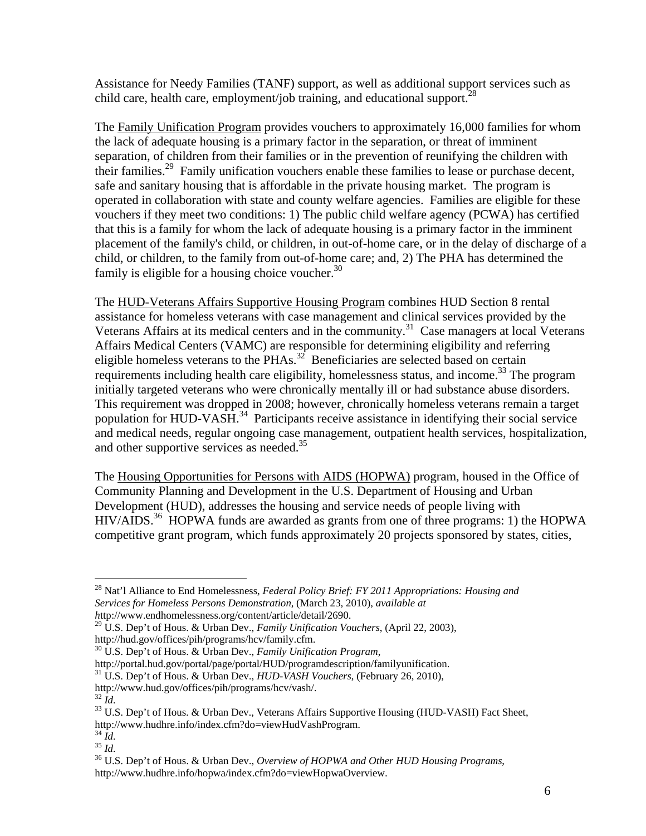Assistance for Needy Families (TANF) support, as well as additional support services such as child care, health care, employment/job training, and educational support.<sup>28</sup>

The Family Unification Program provides vouchers to approximately 16,000 families for whom the lack of adequate housing is a primary factor in the separation, or threat of imminent separation, of children from their families or in the prevention of reunifying the children with their families.<sup>29</sup> Family unification vouchers enable these families to lease or purchase decent, safe and sanitary housing that is affordable in the private housing market. The program is operated in collaboration with state and county welfare agencies. Families are eligible for these vouchers if they meet two conditions: 1) The public child welfare agency (PCWA) has certified that this is a family for whom the lack of adequate housing is a primary factor in the imminent placement of the family's child, or children, in out-of-home care, or in the delay of discharge of a child, or children, to the family from out-of-home care; and, 2) The PHA has determined the family is eligible for a housing choice voucher.<sup>30</sup>

The HUD-Veterans Affairs Supportive Housing Program combines HUD Section 8 rental assistance for homeless veterans with case management and clinical services provided by the Veterans Affairs at its medical centers and in the community.<sup>31</sup> Case managers at local Veterans Affairs Medical Centers (VAMC) are responsible for determining eligibility and referring eligible homeless veterans to the  $PHAs.<sup>32</sup>$  Beneficiaries are selected based on certain requirements including health care eligibility, homelessness status, and income.<sup>33</sup> The program initially targeted veterans who were chronically mentally ill or had substance abuse disorders. This requirement was dropped in 2008; however, chronically homeless veterans remain a target population for HUD-VASH.<sup>34</sup> Participants receive assistance in identifying their social service and medical needs, regular ongoing case management, outpatient health services, hospitalization, and other supportive services as needed.<sup>35</sup>

The Housing Opportunities for Persons with AIDS (HOPWA) program, housed in the Office of Community Planning and Development in the U.S. Department of Housing and Urban Development (HUD), addresses the housing and service needs of people living with  $HIV/ALDS<sup>36</sup> HOPWA$  funds are awarded as grants from one of three programs: 1) the HOPWA competitive grant program, which funds approximately 20 projects sponsored by states, cities,

<sup>28</sup> Nat'l Alliance to End Homelessness, *Federal Policy Brief: FY 2011 Appropriations: Housing and Services for Homeless Persons Demonstration*, (March 23, 2010), *available at h*ttp://www.endhomelessness.org/content/article/detail/2690.

<sup>29</sup> U.S. Dep't of Hous. & Urban Dev., *Family Unification Vouchers*, (April 22, 2003), http://hud.gov/offices/pih/programs/hcv/family.cfm.

<sup>&</sup>lt;sup>30</sup> U.S. Dep't of Hous. & Urban Dev., *Family Unification Program*,<br>http://portal.hud.gov/portal/page/portal/HUD/programdescription/familyunification.

<sup>&</sup>lt;sup>31</sup> U.S. Dep't of Hous. & Urban Dev., *HUD-VASH Vouchers*, (February 26, 2010),

http://www.hud.gov/offices/pih/programs/hcv/vash/. $^{32}$   $M_{\!\scriptscriptstyle \odot}$ 

<sup>&</sup>lt;sup>33</sup> U.S. Dep't of Hous. & Urban Dev., Veterans Affairs Supportive Housing (HUD-VASH) Fact Sheet, http://www.hudhre.info/index.cfm?do=viewHudVashProgram.<br><sup>34</sup> *Id.* 35 *Id.* 35 *Id.* 36 U.S. Dep't of Hous. & Urban Dev., *Overview of HOPWA and Other HUD Housing Programs*,

http://www.hudhre.info/hopwa/index.cfm?do=viewHopwaOverview.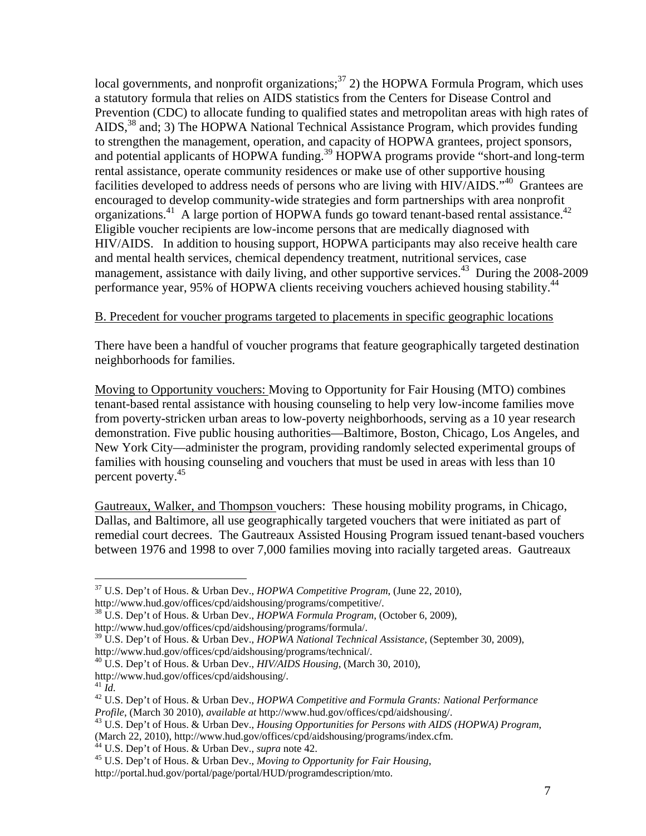local governments, and nonprofit organizations; $37$  2) the HOPWA Formula Program, which uses a statutory formula that relies on AIDS statistics from the Centers for Disease Control and Prevention (CDC) to allocate funding to qualified states and metropolitan areas with high rates of AIDS,<sup>38</sup> and; 3) The HOPWA National Technical Assistance Program, which provides funding to strengthen the management, operation, and capacity of HOPWA grantees, project sponsors, and potential applicants of HOPWA funding.<sup>39</sup> HOPWA programs provide "short-and long-term rental assistance, operate community residences or make use of other supportive housing facilities developed to address needs of persons who are living with HIV/AIDS."<sup>40</sup> Grantees are encouraged to develop community-wide strategies and form partnerships with area nonprofit organizations.<sup>41</sup> A large portion of HOPWA funds go toward tenant-based rental assistance.<sup>42</sup> Eligible voucher recipients are low-income persons that are medically diagnosed with HIV/AIDS. In addition to housing support, HOPWA participants may also receive health care and mental health services, chemical dependency treatment, nutritional services, case management, assistance with daily living, and other supportive services.<sup>43</sup> During the 2008-2009 performance year, 95% of HOPWA clients receiving vouchers achieved housing stability.<sup>44</sup>

#### B. Precedent for voucher programs targeted to placements in specific geographic locations

There have been a handful of voucher programs that feature geographically targeted destination neighborhoods for families.

Moving to Opportunity vouchers: Moving to Opportunity for Fair Housing (MTO) combines tenant-based rental assistance with housing counseling to help very low-income families move from poverty-stricken urban areas to low-poverty neighborhoods, serving as a 10 year research demonstration. Five public housing authorities—Baltimore, Boston, Chicago, Los Angeles, and New York City—administer the program, providing randomly selected experimental groups of families with housing counseling and vouchers that must be used in areas with less than 10 percent poverty.<sup>45</sup>

Gautreaux, Walker, and Thompson vouchers: These housing mobility programs, in Chicago, Dallas, and Baltimore, all use geographically targeted vouchers that were initiated as part of remedial court decrees. The Gautreaux Assisted Housing Program issued tenant-based vouchers between 1976 and 1998 to over 7,000 families moving into racially targeted areas. Gautreaux

<sup>37</sup> U.S. Dep't of Hous. & Urban Dev., *HOPWA Competitive Program*, (June 22, 2010), http://www.hud.gov/offices/cpd/aidshousing/programs/competitive/.

<sup>38</sup> U.S. Dep't of Hous. & Urban Dev., *HOPWA Formula Program*, (October 6, 2009), http://www.hud.gov/offices/cpd/aidshousing/programs/formula/.

<sup>39</sup> U.S. Dep't of Hous. & Urban Dev., *HOPWA National Technical Assistance*, (September 30, 2009), http://www.hud.gov/offices/cpd/aidshousing/programs/technical/.

<sup>40</sup> U.S. Dep't of Hous. & Urban Dev., *HIV/AIDS Housing*, (March 30, 2010),

http://www.hud.gov/offices/cpd/aidshousing/.<br><sup>41</sup> Id.

<sup>&</sup>lt;sup>42</sup> U.S. Dep't of Hous. & Urban Dev., *HOPWA Competitive and Formula Grants: National Performance Profile*, (March 30 2010), *available at* http://www.hud.gov/offices/cpd/aidshousing/. 43 U.S. Dep't of Hous. & Urban Dev., *Housing Opportunities for Persons with AIDS (HOPWA) Program*,

<sup>(</sup>March 22, 2010), http://www.hud.gov/offices/cpd/aidshousing/programs/index.cfm.<br><sup>44</sup> U.S. Dep't of Hous. & Urban Dev., *supra* note 42.

<sup>&</sup>lt;sup>45</sup> U.S. Dep't of Hous. & Urban Dev., *Moving to Opportunity for Fair Housing*,

http://portal.hud.gov/portal/page/portal/HUD/programdescription/mto.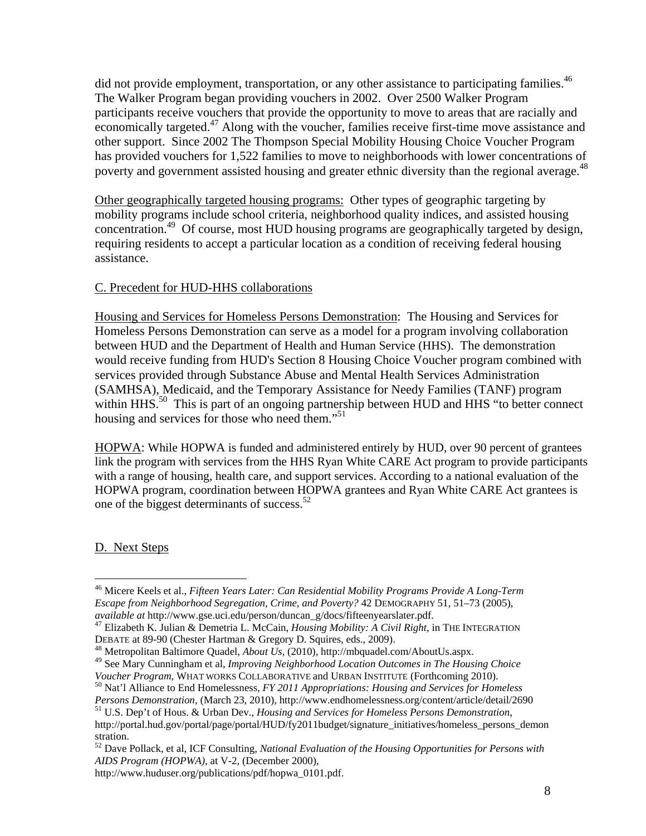did not provide employment, transportation, or any other assistance to participating families.<sup>46</sup> The Walker Program began providing vouchers in 2002. Over 2500 Walker Program participants receive vouchers that provide the opportunity to move to areas that are racially and economically targeted.<sup>47</sup> Along with the voucher, families receive first-time move assistance and other support. Since 2002 The Thompson Special Mobility Housing Choice Voucher Program has provided vouchers for 1,522 families to move to neighborhoods with lower concentrations of poverty and government assisted housing and greater ethnic diversity than the regional average.<sup>48</sup>

Other geographically targeted housing programs: Other types of geographic targeting by mobility programs include school criteria, neighborhood quality indices, and assisted housing concentration.49 Of course, most HUD housing programs are geographically targeted by design, requiring residents to accept a particular location as a condition of receiving federal housing assistance.

## C. Precedent for HUD-HHS collaborations

Housing and Services for Homeless Persons Demonstration: The Housing and Services for Homeless Persons Demonstration can serve as a model for a program involving collaboration between HUD and the Department of Health and Human Service (HHS). The demonstration would receive funding from HUD's Section 8 Housing Choice Voucher program combined with services provided through Substance Abuse and Mental Health Services Administration (SAMHSA), Medicaid, and the Temporary Assistance for Needy Families (TANF) program within HHS.<sup>50</sup> This is part of an ongoing partnership between HUD and HHS "to better connect housing and services for those who need them."<sup>51</sup>

HOPWA: While HOPWA is funded and administered entirely by HUD, over 90 percent of grantees link the program with services from the HHS Ryan White CARE Act program to provide participants with a range of housing, health care, and support services. According to a national evaluation of the HOPWA program, coordination between HOPWA grantees and Ryan White CARE Act grantees is one of the biggest determinants of success. $52$ 

## D. Next Steps

<sup>46</sup> Micere Keels et al., *Fifteen Years Later: Can Residential Mobility Programs Provide A Long-Term Escape from Neighborhood Segregation, Crime, and Poverty?* 42 DEMOGRAPHY 51, 51–73 (2005),

*available at* http://www.gse.uci.edu/person/duncan\_g/docs/fifteenyearslater.pdf. 47 Elizabeth K. Julian & Demetria L. McCain, *Housing Mobility: A Civil Right*, in THE INTEGRATION

 $^{48}$  Metropolitan Baltimore Quadel, *About Us*, (2010), http://mbquadel.com/AboutUs.aspx.

<sup>49</sup> See Mary Cunningham et al, *Improving Neighborhood Location Outcomes in The Housing Choice* 

<sup>&</sup>lt;sup>50</sup> Nat'l Alliance to End Homelessness, *FY 2011 Appropriations: Housing and Services for Homeless Persons Demonstration*, (March 23, 2010), http://www.endhomelessness.org/content/article/detail/2690 <sup>51</sup> U.S. Dep't of Hous. & Urban Dev., *Housing and Services for Homeless Persons Demonstration*,

http://portal.hud.gov/portal/page/portal/HUD/fy2011budget/signature\_initiatives/homeless\_persons\_demon stration.

<sup>52</sup> Dave Pollack, et al, ICF Consulting, *National Evaluation of the Housing Opportunities for Persons with AIDS Program (HOPWA)*, at V-2, (December 2000),

http://www.huduser.org/publications/pdf/hopwa\_0101.pdf.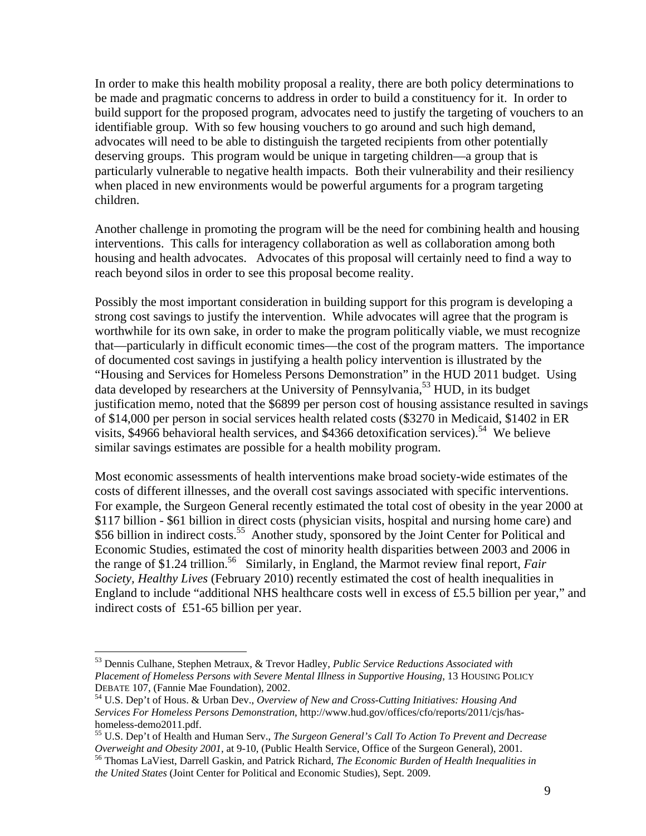In order to make this health mobility proposal a reality, there are both policy determinations to be made and pragmatic concerns to address in order to build a constituency for it. In order to build support for the proposed program, advocates need to justify the targeting of vouchers to an identifiable group. With so few housing vouchers to go around and such high demand, advocates will need to be able to distinguish the targeted recipients from other potentially deserving groups. This program would be unique in targeting children—a group that is particularly vulnerable to negative health impacts. Both their vulnerability and their resiliency when placed in new environments would be powerful arguments for a program targeting children.

Another challenge in promoting the program will be the need for combining health and housing interventions. This calls for interagency collaboration as well as collaboration among both housing and health advocates. Advocates of this proposal will certainly need to find a way to reach beyond silos in order to see this proposal become reality.

Possibly the most important consideration in building support for this program is developing a strong cost savings to justify the intervention. While advocates will agree that the program is worthwhile for its own sake, in order to make the program politically viable, we must recognize that—particularly in difficult economic times—the cost of the program matters. The importance of documented cost savings in justifying a health policy intervention is illustrated by the "Housing and Services for Homeless Persons Demonstration" in the HUD 2011 budget. Using data developed by researchers at the University of Pennsylvania,<sup>53</sup> HUD, in its budget justification memo, noted that the \$6899 per person cost of housing assistance resulted in savings of \$14,000 per person in social services health related costs (\$3270 in Medicaid, \$1402 in ER visits, \$4966 behavioral health services, and \$4366 detoxification services).<sup>54</sup> We believe similar savings estimates are possible for a health mobility program.

Most economic assessments of health interventions make broad society-wide estimates of the costs of different illnesses, and the overall cost savings associated with specific interventions. For example, the Surgeon General recently estimated the total cost of obesity in the year 2000 at \$117 billion - \$61 billion in direct costs (physician visits, hospital and nursing home care) and \$56 billion in indirect costs.<sup>55</sup> Another study, sponsored by the Joint Center for Political and Economic Studies, estimated the cost of minority health disparities between 2003 and 2006 in the range of \$1.24 trillion.<sup>56</sup> Similarly, in England, the Marmot review final report, *Fair Society, Healthy Lives* (February 2010) recently estimated the cost of health inequalities in England to include "additional NHS healthcare costs well in excess of £5.5 billion per year," and indirect costs of £51-65 billion per year.

1

<sup>53</sup> Dennis Culhane, Stephen Metraux, & Trevor Hadley, *Public Service Reductions Associated with Placement of Homeless Persons with Severe Mental Illness in Supportive Housing*, 13 HOUSING POLICY DEBATE 107, (Fannie Mae Foundation), 2002.<br><sup>54</sup> U.S. Dep't of Hous. & Urban Dev., *Overview of New and Cross-Cutting Initiatives: Housing And* 

*Services For Homeless Persons Demonstration*, http://www.hud.gov/offices/cfo/reports/2011/cjs/hashomeless-demo2011.pdf.

<sup>55</sup> U.S. Dep't of Health and Human Serv., *The Surgeon General's Call To Action To Prevent and Decrease* 

<sup>&</sup>lt;sup>56</sup> Thomas LaViest, Darrell Gaskin, and Patrick Richard, *The Economic Burden of Health Inequalities in the United States* (Joint Center for Political and Economic Studies), Sept. 2009.